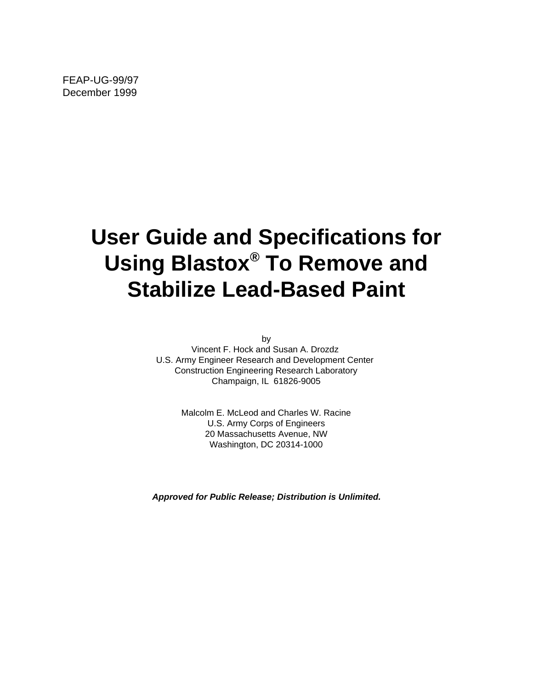FEAP-UG-99/97 December 1999

# **User Guide and Specifications for Using Blastox® To Remove and Stabilize Lead-Based Paint**

by

Vincent F. Hock and Susan A. Drozdz U.S. Army Engineer Research and Development Center Construction Engineering Research Laboratory Champaign, IL 61826-9005

> Malcolm E. McLeod and Charles W. Racine U.S. Army Corps of Engineers 20 Massachusetts Avenue, NW Washington, DC 20314-1000

**Approved for Public Release; Distribution is Unlimited.**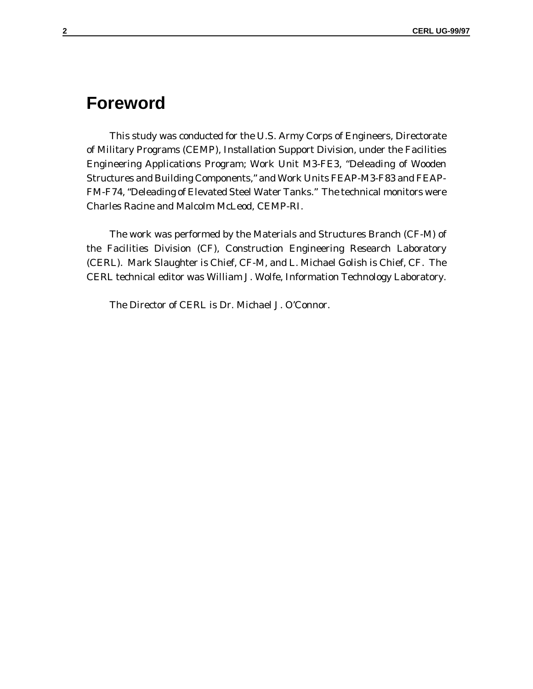# **Foreword**

This study was conducted for the U.S. Army Corps of Engineers, Directorate of Military Programs (CEMP), Installation Support Division, under the Facilities Engineering Applications Program; Work Unit M3-FE3, "Deleading of Wooden Structures and Building Components," and Work Units FEAP-M3-F83 and FEAP-FM-F74, "Deleading of Elevated Steel Water Tanks." The technical monitors were Charles Racine and Malcolm McLeod, CEMP-RI.

The work was performed by the Materials and Structures Branch (CF-M) of the Facilities Division (CF), Construction Engineering Research Laboratory (CERL). Mark Slaughter is Chief, CF-M, and L. Michael Golish is Chief, CF. The CERL technical editor was William J. Wolfe, Information Technology Laboratory.

The Director of CERL is Dr. Michael J. O'Connor.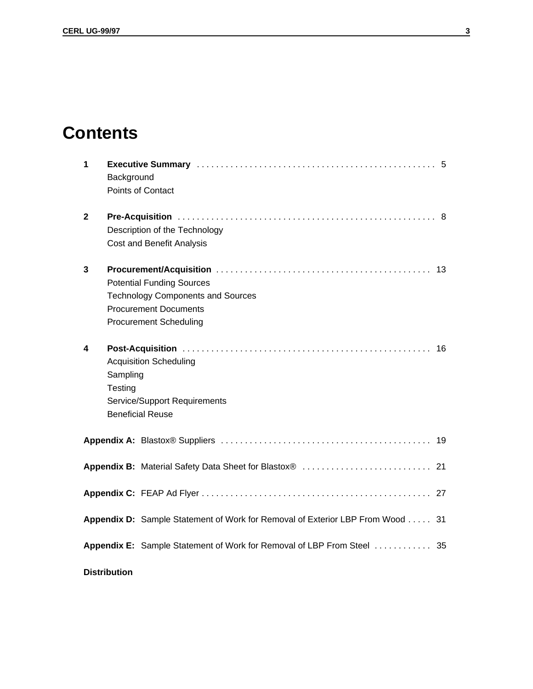# **Contents**

| $\mathbf 1$  | Background          | Points of Contact                                                                                                                             |    |
|--------------|---------------------|-----------------------------------------------------------------------------------------------------------------------------------------------|----|
| $\mathbf{2}$ |                     | Description of the Technology<br><b>Cost and Benefit Analysis</b>                                                                             |    |
| 3            |                     | <b>Potential Funding Sources</b><br><b>Technology Components and Sources</b><br><b>Procurement Documents</b><br><b>Procurement Scheduling</b> | 13 |
| 4            | Sampling<br>Testing | <b>Acquisition Scheduling</b><br><b>Service/Support Requirements</b><br><b>Beneficial Reuse</b>                                               | 16 |
|              |                     |                                                                                                                                               |    |
|              |                     |                                                                                                                                               |    |
|              |                     |                                                                                                                                               |    |
|              |                     | Appendix D: Sample Statement of Work for Removal of Exterior LBP From Wood                                                                    | 31 |
|              |                     | Appendix E: Sample Statement of Work for Removal of LBP From Steel 35                                                                         |    |
|              | <b>Distribution</b> |                                                                                                                                               |    |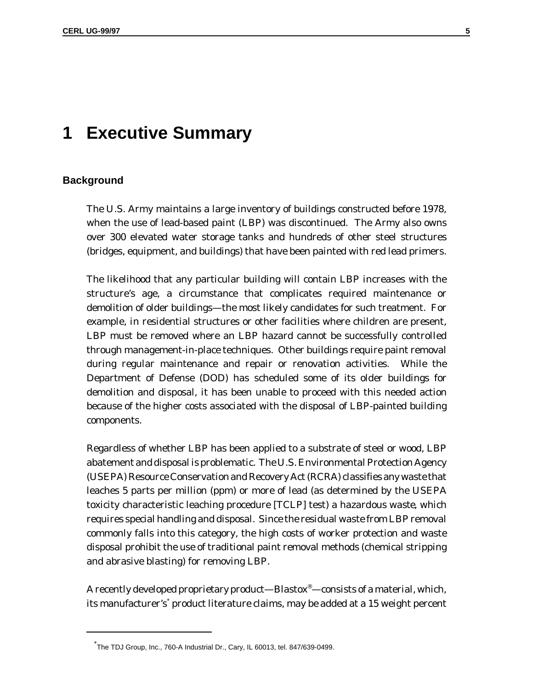# **1 Executive Summary**

#### **Background**

The U.S. Army maintains a large inventory of buildings constructed before 1978, when the use of lead-based paint (LBP) was discontinued. The Army also owns over 300 elevated water storage tanks and hundreds of other steel structures (bridges, equipment, and buildings) that have been painted with red lead primers.

The likelihood that any particular building will contain LBP increases with the structure's age, a circumstance that complicates required maintenance or demolition of older buildings—the most likely candidates for such treatment. For example, in residential structures or other facilities where children are present, LBP must be removed where an LBP hazard cannot be successfully controlled through management-in-place techniques. Other buildings require paint removal during regular maintenance and repair or renovation activities. While the Department of Defense (DOD) has scheduled some of its older buildings for demolition and disposal, it has been unable to proceed with this needed action because of the higher costs associated with the disposal of LBP-painted building components.

Regardless of whether LBP has been applied to a substrate of steel or wood, LBP abatement and disposal is problematic. The U.S. Environmental Protection Agency (USEPA) Resource Conservation and Recovery Act (RCRA) classifies any waste that leaches 5 parts per million (ppm) or more of lead (as determined by the USEPA toxicity characteristic leaching procedure [TCLP] test) a *hazardous waste*, which requires special handling and disposal. Since the residual waste from LBP removal commonly falls into this category, the high costs of worker protection and waste disposal prohibit the use of traditional paint removal methods (chemical stripping and abrasive blasting) for removing LBP.

A recently developed proprietary product—Blastox®—consists of a material, which, its manufacturer's\* product literature claims, may be added at a 15 weight percent

<sup>\*</sup> The TDJ Group, Inc., 760-A Industrial Dr., Cary, IL 60013, tel. 847/639-0499.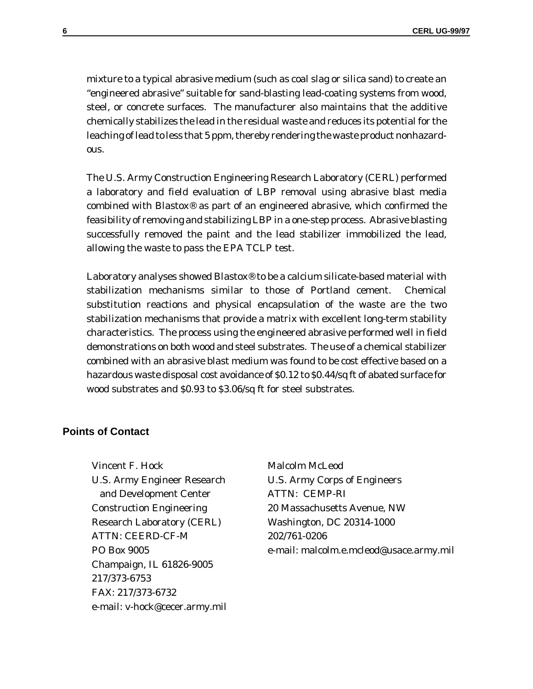mixture to a typical abrasive medium (such as coal slag or silica sand) to create an "engineered abrasive" suitable for sand-blasting lead-coating systems from wood, steel, or concrete surfaces. The manufacturer also maintains that the additive chemically stabilizes the lead in the residual waste and reduces its potential for the leaching of lead to less that 5 ppm, thereby rendering the waste product nonhazardous.

The U.S. Army Construction Engineering Research Laboratory (CERL) performed a laboratory and field evaluation of LBP removal using abrasive blast media combined with Blastox® as part of an engineered abrasive, which confirmed the feasibility of removing and stabilizing LBP in a one-step process. Abrasive blasting successfully removed the paint and the lead stabilizer immobilized the lead, allowing the waste to pass the EPA TCLP test.

Laboratory analyses showed Blastox® to be a calcium silicate-based material with stabilization mechanisms similar to those of Portland cement. Chemical substitution reactions and physical encapsulation of the waste are the two stabilization mechanisms that provide a matrix with excellent long-term stability characteristics. The process using the engineered abrasive performed well in field demonstrations on both wood and steel substrates. The use of a chemical stabilizer combined with an abrasive blast medium was found to be cost effective based on a hazardous waste disposal cost avoidance of \$0.12 to \$0.44/sq ft of abated surface for wood substrates and \$0.93 to \$3.06/sq ft for steel substrates.

## **Points of Contact**

Vincent F. Hock U.S. Army Engineer Research and Development Center Construction Engineering Research Laboratory (CERL) ATTN: CEERD-CF-M PO Box 9005 Champaign, IL 61826-9005 217/373-6753 FAX: 217/373-6732 e-mail: v-hock@cecer.army.mil Malcolm McLeod U.S. Army Corps of Engineers ATTN: CEMP-RI 20 Massachusetts Avenue, NW Washington, DC 20314-1000 202/761-0206 e-mail: malcolm.e.mcleod@usace.army.mil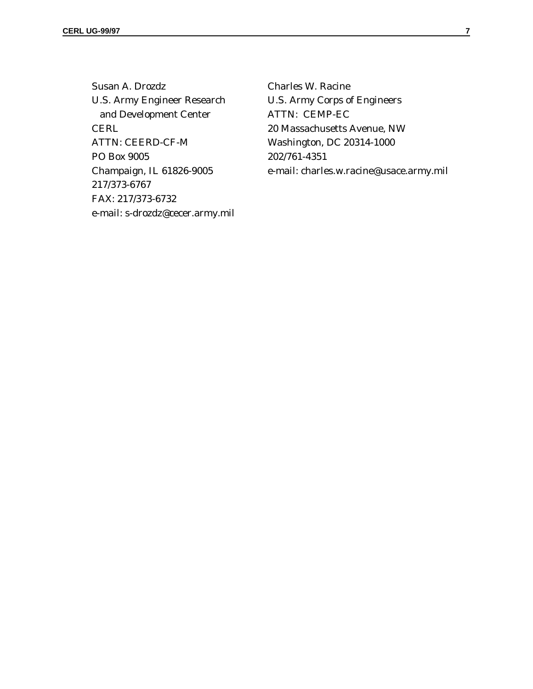Susan A. Drozdz U.S. Army Engineer Research and Development Center **CERL** ATTN: CEERD-CF-M PO Box 9005 Champaign, IL 61826-9005 217/373-6767 FAX: 217/373-6732 e-mail: s-drozdz@cecer.army.mil

Charles W. Racine U.S. Army Corps of Engineers ATTN: CEMP-EC 20 Massachusetts Avenue, NW Washington, DC 20314-1000 202/761-4351 e-mail: charles.w.racine@usace.army.mil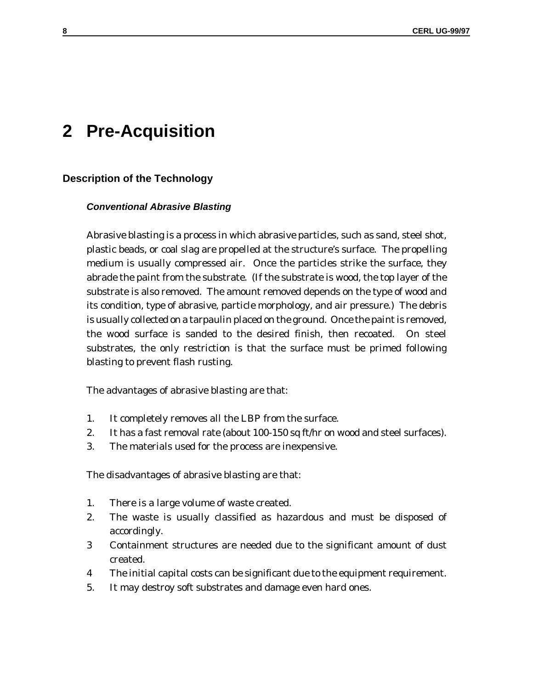# **2 Pre-Acquisition**

## **Description of the Technology**

#### **Conventional Abrasive Blasting**

Abrasive blasting is a process in which abrasive particles, such as sand, steel shot, plastic beads, or coal slag are propelled at the structure's surface. The propelling medium is usually compressed air. Once the particles strike the surface, they abrade the paint from the substrate. (If the substrate is wood, the top layer of the substrate is also removed. The amount removed depends on the type of wood and its condition, type of abrasive, particle morphology, and air pressure.) The debris is usually collected on a tarpaulin placed on the ground. Once the paint is removed, the wood surface is sanded to the desired finish, then recoated. On steel substrates, the only restriction is that the surface must be primed following blasting to prevent flash rusting.

The advantages of abrasive blasting are that:

- 1. It completely removes all the LBP from the surface.
- 2. It has a fast removal rate (about 100-150 sq ft/hr on wood and steel surfaces).
- 3. The materials used for the process are inexpensive.

The disadvantages of abrasive blasting are that:

- 1. There is a large volume of waste created.
- 2. The waste is usually classified as hazardous and must be disposed of accordingly.
- 3 Containment structures are needed due to the significant amount of dust created.
- 4 The initial capital costs can be significant due to the equipment requirement.
- 5. It may destroy soft substrates and damage even hard ones.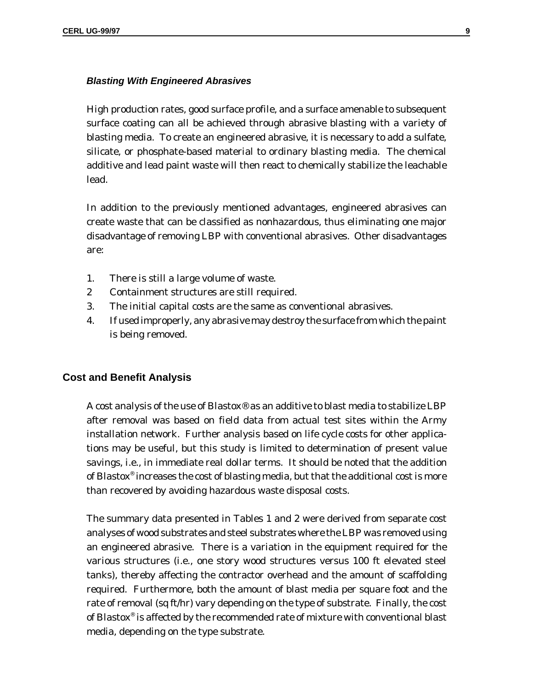#### **Blasting With Engineered Abrasives**

High production rates, good surface profile, and a surface amenable to subsequent surface coating can all be achieved through abrasive blasting with a variety of blasting media. To create an engineered abrasive, it is necessary to add a sulfate, silicate, or phosphate-based material to ordinary blasting media. The chemical additive and lead paint waste will then react to chemically stabilize the leachable lead.

In addition to the previously mentioned advantages, engineered abrasives can create waste that can be classified as nonhazardous, thus eliminating one major disadvantage of removing LBP with conventional abrasives. Other disadvantages are:

- 1. There is still a large volume of waste.
- 2 Containment structures are still required.
- 3. The initial capital costs are the same as conventional abrasives.
- 4. If used improperly, any abrasive may destroy the surface from which the paint is being removed.

#### **Cost and Benefit Analysis**

A cost analysis of the use of Blastox® as an additive to blast media to stabilize LBP after removal was based on field data from actual test sites within the Army installation network. Further analysis based on life cycle costs for other applications may be useful, but this study is limited to determination of present value savings, i.e., in immediate real dollar terms. It should be noted that the addition of Blastox® increases the cost of blasting media, but that the additional cost is more than recovered by avoiding hazardous waste disposal costs.

The summary data presented in Tables 1 and 2 were derived from separate cost analyses of wood substrates and steel substrates where the LBP was removed using an engineered abrasive. There is a variation in the equipment required for the various structures (i.e., one story wood structures versus 100 ft elevated steel tanks), thereby affecting the contractor overhead and the amount of scaffolding required. Furthermore, both the amount of blast media per square foot and the rate of removal (sq ft/hr) vary depending on the type of substrate. Finally, the cost of Blastox® is affected by the recommended rate of mixture with conventional blast media, depending on the type substrate.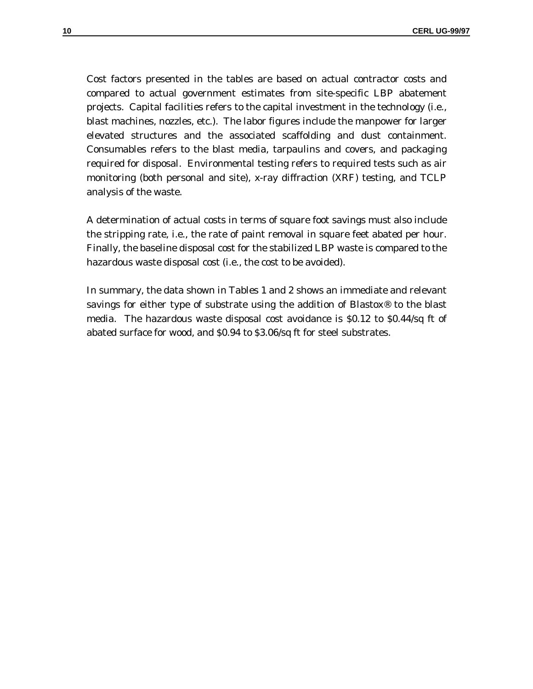Cost factors presented in the tables are based on actual contractor costs and compared to actual government estimates from site-specific LBP abatement projects. Capital facilities refers to the capital investment in the technology (i.e., blast machines, nozzles, etc.). The labor figures include the manpower for larger elevated structures and the associated scaffolding and dust containment. Consumables refers to the blast media, tarpaulins and covers, and packaging required for disposal. Environmental testing refers to required tests such as air monitoring (both personal and site), x-ray diffraction (XRF) testing, and TCLP analysis of the waste.

A determination of actual costs in terms of square foot savings must also include the stripping rate, i.e., the rate of paint removal in square feet abated per hour. Finally, the baseline disposal cost for the stabilized LBP waste is compared to the hazardous waste disposal cost (i.e., the cost to be avoided).

In summary, the data shown in Tables 1 and 2 shows an immediate and relevant savings for either type of substrate using the addition of Blastox® to the blast media. The hazardous waste disposal cost avoidance is \$0.12 to \$0.44/sq ft of abated surface for wood, and \$0.94 to \$3.06/sq ft for steel substrates.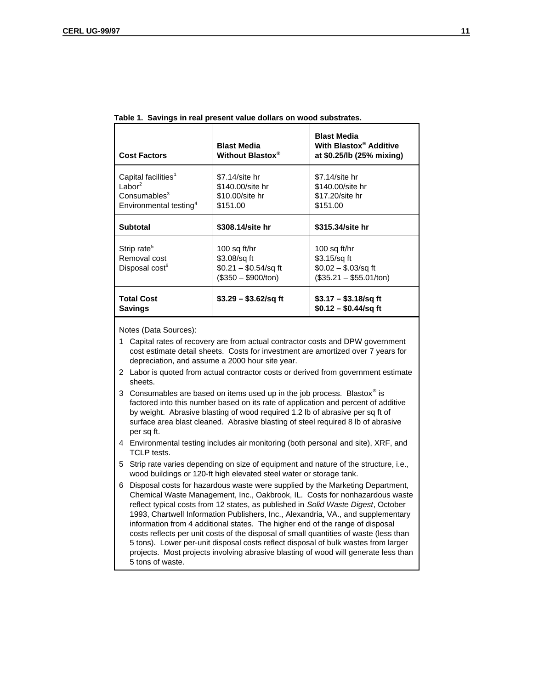| <b>Cost Factors</b>                                                                                                     | <b>Blast Media</b><br>Without Blastox <sup>®</sup>                            | <b>Blast Media</b><br>With Blastox® Additive<br>at \$0.25/lb (25% mixing)          |
|-------------------------------------------------------------------------------------------------------------------------|-------------------------------------------------------------------------------|------------------------------------------------------------------------------------|
| Capital facilities <sup>1</sup><br>Labor <sup>2</sup><br>Consumables <sup>3</sup><br>Environmental testing <sup>4</sup> | $$7.14$ /site hr<br>\$140.00/site hr<br>\$10,00/site hr<br>\$151.00           | \$7.14/site hr<br>\$140.00/site hr<br>\$17.20/site hr<br>\$151.00                  |
| Subtotal                                                                                                                | \$308.14/site hr                                                              | \$315,34/site hr                                                                   |
| Strip rate <sup>5</sup><br>Removal cost<br>Disposal cost <sup>6</sup>                                                   | 100 sq ft/hr<br>\$3.08/sq ft<br>$$0.21 - $0.54$ /sq ft<br>$($350 - $900/ton)$ | 100 sq ft/hr<br>$$3.15$ /sq ft<br>$$0.02 - $.03$ /sq ft<br>$($35.21 - $55.01/ton)$ |
| <b>Total Cost</b><br><b>Savings</b>                                                                                     | $$3.29 - $3.62$ /sq ft                                                        | $$3.17 - $3.18$ /sq ft<br>$$0.12 - $0.44$ /sq ft                                   |

|  | Table 1. Savings in real present value dollars on wood substrates. |  |  |  |  |
|--|--------------------------------------------------------------------|--|--|--|--|
|--|--------------------------------------------------------------------|--|--|--|--|

Notes (Data Sources):

1 Capital rates of recovery are from actual contractor costs and DPW government cost estimate detail sheets. Costs for investment are amortized over 7 years for depreciation, and assume a 2000 hour site year.

- 2 Labor is quoted from actual contractor costs or derived from government estimate sheets.
- 3 Consumables are based on items used up in the job process. Blastox<sup>®</sup> is factored into this number based on its rate of application and percent of additive by weight. Abrasive blasting of wood required 1.2 lb of abrasive per sq ft of surface area blast cleaned. Abrasive blasting of steel required 8 lb of abrasive per sq ft.
- 4 Environmental testing includes air monitoring (both personal and site), XRF, and TCLP tests.
- 5 Strip rate varies depending on size of equipment and nature of the structure, i.e., wood buildings or 120-ft high elevated steel water or storage tank.
- 6 Disposal costs for hazardous waste were supplied by the Marketing Department, Chemical Waste Management, Inc., Oakbrook, IL. Costs for nonhazardous waste reflect typical costs from 12 states, as published in Solid Waste Digest, October 1993, Chartwell Information Publishers, Inc., Alexandria, VA., and supplementary information from 4 additional states. The higher end of the range of disposal costs reflects per unit costs of the disposal of small quantities of waste (less than 5 tons). Lower per-unit disposal costs reflect disposal of bulk wastes from larger projects. Most projects involving abrasive blasting of wood will generate less than 5 tons of waste.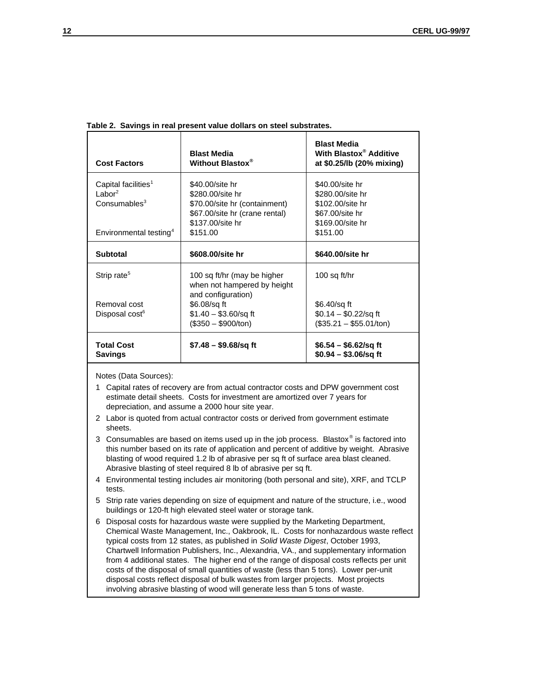| <b>Cost Factors</b>                 | <b>Blast Media</b><br>Without Blastox <sup>®</sup>         | <b>Blast Media</b><br>With Blastox <sup>®</sup> Additive<br>at \$0.25/lb (20% mixing) |
|-------------------------------------|------------------------------------------------------------|---------------------------------------------------------------------------------------|
| Capital facilities <sup>1</sup>     | \$40,00/site hr                                            | \$40,00/site hr                                                                       |
| $\mathsf{Labor}^2$                  | \$280.00/site hr                                           | \$280,00/site hr                                                                      |
| Consumables <sup>3</sup>            | \$70.00/site hr (containment)                              | \$102,00/site hr                                                                      |
|                                     | \$67.00/site hr (crane rental)                             | \$67,00/site hr                                                                       |
|                                     | \$137,00/site hr                                           | \$169,00/site hr                                                                      |
| Environmental testing <sup>4</sup>  | \$151.00                                                   | \$151.00                                                                              |
| Subtotal                            | \$608,00/site hr                                           | \$640,00/site hr                                                                      |
| Strip rate <sup>5</sup>             | 100 sq ft/hr (may be higher<br>when not hampered by height | 100 sq ft/hr                                                                          |
|                                     | and configuration)                                         |                                                                                       |
| Removal cost                        | \$6.08/sq ft                                               | \$6.40/sq ft                                                                          |
| Disposal cost <sup>6</sup>          | $$1.40 - $3.60$ /sq ft                                     | $$0.14 - $0.22$ /sq ft                                                                |
|                                     | $($350 - $900/ton)$                                        | $($35.21 - $55.01/ton)$                                                               |
| <b>Total Cost</b><br><b>Savings</b> | $$7.48 - $9.68$ /sq ft                                     | $$6.54 - $6.62$ /sq ft<br>$$0.94 - $3.06$ /sq ft                                      |

**Table 2. Savings in real present value dollars on steel substrates.**

Notes (Data Sources):

- 1 Capital rates of recovery are from actual contractor costs and DPW government cost estimate detail sheets. Costs for investment are amortized over 7 years for depreciation, and assume a 2000 hour site year.
- 2 Labor is quoted from actual contractor costs or derived from government estimate sheets.
- 3 Consumables are based on items used up in the job process. Blastox<sup>®</sup> is factored into this number based on its rate of application and percent of additive by weight. Abrasive blasting of wood required 1.2 lb of abrasive per sq ft of surface area blast cleaned. Abrasive blasting of steel required 8 lb of abrasive per sq ft.
- 4 Environmental testing includes air monitoring (both personal and site), XRF, and TCLP tests.
- 5 Strip rate varies depending on size of equipment and nature of the structure, i.e., wood buildings or 120-ft high elevated steel water or storage tank.
- 6 Disposal costs for hazardous waste were supplied by the Marketing Department, Chemical Waste Management, Inc., Oakbrook, IL. Costs for nonhazardous waste reflect typical costs from 12 states, as published in Solid Waste Digest, October 1993, Chartwell Information Publishers, Inc., Alexandria, VA., and supplementary information from 4 additional states. The higher end of the range of disposal costs reflects per unit costs of the disposal of small quantities of waste (less than 5 tons). Lower per-unit disposal costs reflect disposal of bulk wastes from larger projects. Most projects involving abrasive blasting of wood will generate less than 5 tons of waste.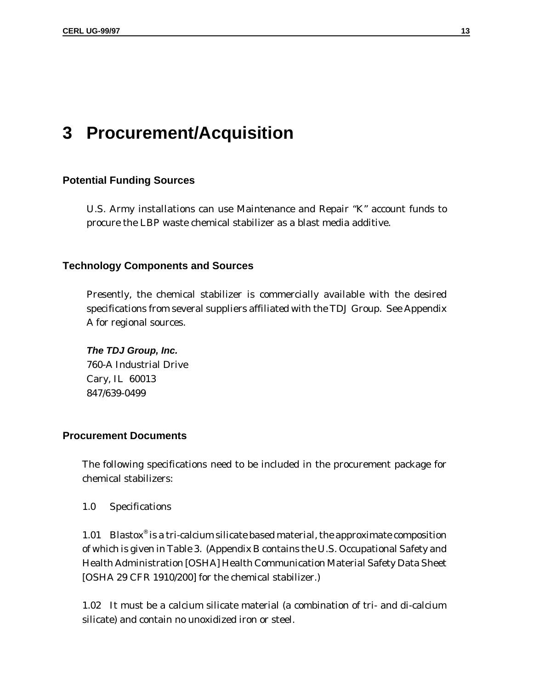# **3 Procurement/Acquisition**

### **Potential Funding Sources**

U.S. Army installations can use Maintenance and Repair "K" account funds to procure the LBP waste chemical stabilizer as a blast media additive.

### **Technology Components and Sources**

Presently, the chemical stabilizer is commercially available with the desired specifications from several suppliers affiliated with the TDJ Group. See Appendix A for regional sources.

**The TDJ Group, Inc.** 760-A Industrial Drive Cary, IL 60013 847/639-0499

## **Procurement Documents**

The following specifications need to be included in the procurement package for chemical stabilizers:

1.0 Specifications

1.01 Blastox® is a tri-calcium silicate based material, the approximate composition of which is given in Table 3. (Appendix B contains the U.S. Occupational Safety and Health Administration [OSHA] Health Communication Material Safety Data Sheet [OSHA 29 CFR 1910/200] for the chemical stabilizer.)

1.02 It must be a calcium silicate material (a combination of tri- and di-calcium silicate) and contain no unoxidized iron or steel.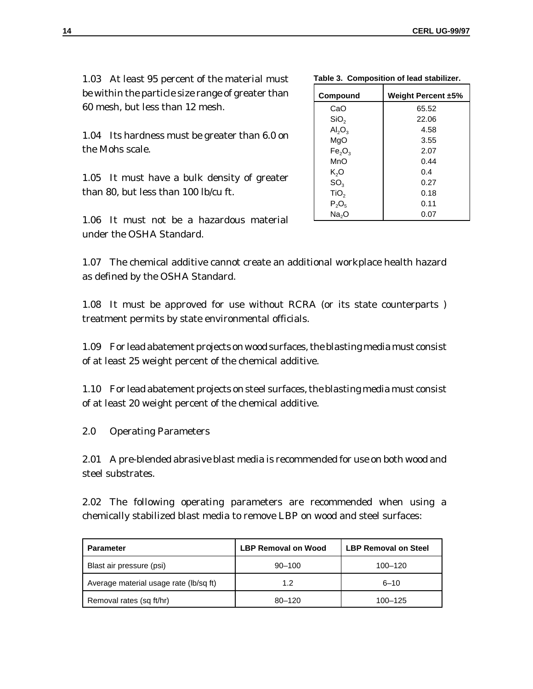0.18 0.11 0.07

1.03 At least 95 percent of the material must be within the particle size range of greater than 60 mesh, but less than 12 mesh.

1.04 Its hardness must be greater than 6.0 on the Mohs scale.

1.05 It must have a bulk density of greater than 80, but less than 100 lb/cu ft.

1.06 It must not be a hazardous material under the OSHA Standard.

1.07 The chemical additive cannot create an additional workplace health hazard as defined by the OSHA Standard.

1.08 It must be approved for use without RCRA (or its state counterparts ) treatment permits by state environmental officials.

1.09 For lead abatement projects on wood surfaces, the blasting media must consist of at least 25 weight percent of the chemical additive.

1.10 For lead abatement projects on steel surfaces, the blasting media must consist of at least 20 weight percent of the chemical additive.

2.0 Operating Parameters

2.01 A pre-blended abrasive blast media is recommended for use on both wood and steel substrates.

2.02 The following operating parameters are recommended when using a chemically stabilized blast media to remove LBP on wood and steel surfaces:

| <b>Parameter</b>                       | <b>LBP Removal on Wood</b> | <b>LBP Removal on Steel</b> |
|----------------------------------------|----------------------------|-----------------------------|
| Blast air pressure (psi)               | $90 - 100$                 | 100-120                     |
| Average material usage rate (lb/sq ft) | 1.2                        | $6 - 10$                    |
| Removal rates (sq ft/hr)               | $80 - 120$                 | 100-125                     |

| . uw.v v. vvpv                 |                    |  |  |
|--------------------------------|--------------------|--|--|
| Compound                       | Weight Percent ±5% |  |  |
| CaO                            | 65.52              |  |  |
| SiO <sub>2</sub>               | 22.06              |  |  |
| $\mathsf{Al}_2\mathsf{O}_3$    | 4.58               |  |  |
| MgO                            | 3.55               |  |  |
| Fe <sub>2</sub> O <sub>3</sub> | 2.07               |  |  |
| MnO                            | 0.44               |  |  |
| K <sub>2</sub> O               | 0.4                |  |  |
|                                | 0.27               |  |  |

 $TiO<sub>2</sub>$  $P_2O_5$ Na<sub>2</sub>O

|  | Table 3. Composition of lead stabilizer. |  |  |
|--|------------------------------------------|--|--|
|--|------------------------------------------|--|--|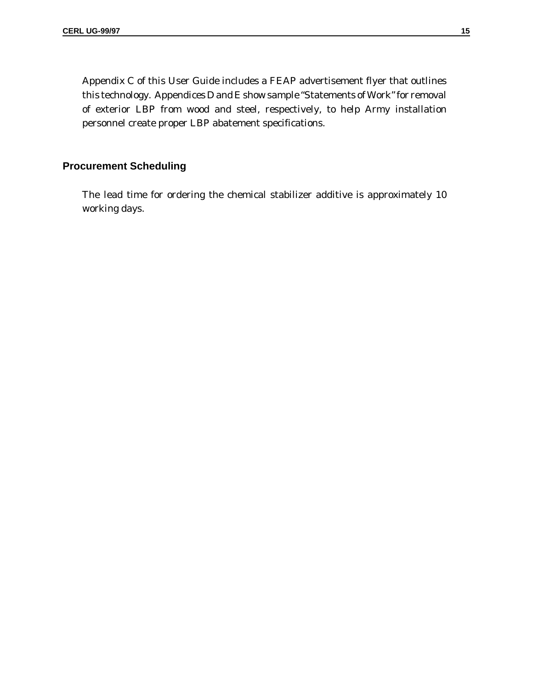Appendix C of this User Guide includes a FEAP advertisement flyer that outlines this technology. Appendices D and E show sample "Statements of Work" for removal of exterior LBP from wood and steel, respectively, to help Army installation personnel create proper LBP abatement specifications.

### **Procurement Scheduling**

The lead time for ordering the chemical stabilizer additive is approximately 10 working days.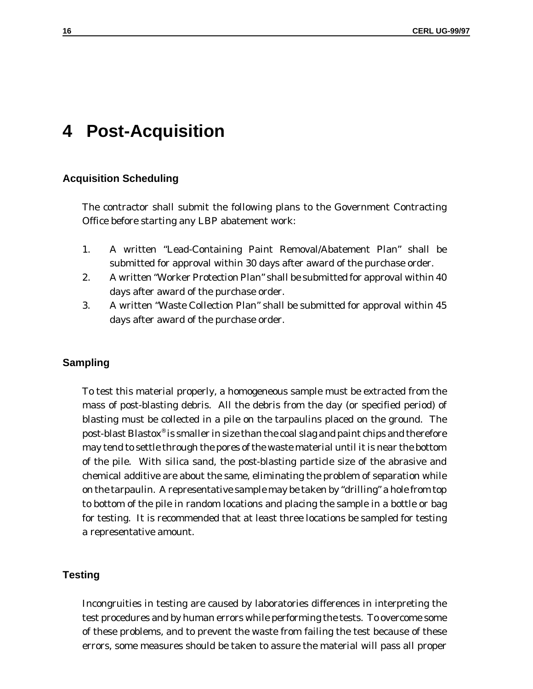# **4 Post-Acquisition**

#### **Acquisition Scheduling**

The contractor shall submit the following plans to the Government Contracting Office before starting any LBP abatement work:

- 1. A written "Lead-Containing Paint Removal/Abatement Plan" shall be submitted for approval within 30 days after award of the purchase order.
- 2. A written "Worker Protection Plan" shall be submitted for approval within 40 days after award of the purchase order.
- 3. A written "Waste Collection Plan" shall be submitted for approval within 45 days after award of the purchase order.

#### **Sampling**

To test this material properly, a homogeneous sample must be extracted from the mass of post-blasting debris. All the debris from the day (or specified period) of blasting must be collected in a pile on the tarpaulins placed on the ground. The post-blast Blastox® is smaller in size than the coal slag and paint chips and therefore may tend to settle through the pores of the waste material until it is near the bottom of the pile. With silica sand, the post-blasting particle size of the abrasive and chemical additive are about the same, eliminating the problem of separation while on the tarpaulin. A representative sample may be taken by "drilling" a hole from top to bottom of the pile in random locations and placing the sample in a bottle or bag for testing. It is recommended that at least three locations be sampled for testing a representative amount.

### **Testing**

Incongruities in testing are caused by laboratories differences in interpreting the test procedures and by human errors while performing the tests. To overcome some of these problems, and to prevent the waste from failing the test because of these errors, some measures should be taken to assure the material will pass all proper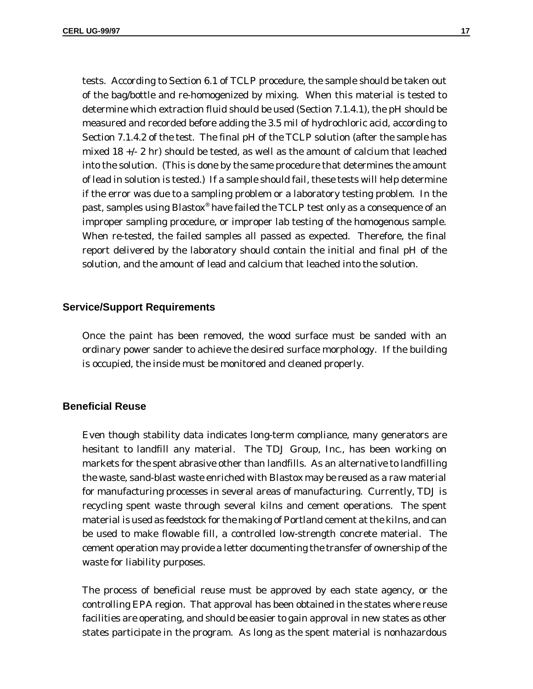tests. According to Section 6.1 of TCLP procedure, the sample should be taken out of the bag/bottle and re-homogenized by mixing. When this material is tested to determine which extraction fluid should be used (Section 7.1.4.1), the pH should be measured and recorded before adding the 3.5 mil of hydrochloric acid, according to Section 7.1.4.2 of the test. The final pH of the TCLP solution (after the sample has mixed 18 +/- 2 hr) should be tested, as well as the amount of calcium that leached into the solution. (This is done by the same procedure that determines the amount of lead in solution is tested.) If a sample should fail, these tests will help determine if the error was due to a sampling problem or a laboratory testing problem. In the past, samples using Blastox® have failed the TCLP test *only* as a consequence of an improper sampling procedure, or improper lab testing of the homogenous sample. When re-tested, the failed samples all passed as expected. Therefore, the final report delivered by the laboratory should contain the initial and final pH of the solution, and the amount of lead and calcium that leached into the solution.

#### **Service/Support Requirements**

Once the paint has been removed, the wood surface must be sanded with an ordinary power sander to achieve the desired surface morphology. If the building is occupied, the inside must be monitored and cleaned properly.

#### **Beneficial Reuse**

Even though stability data indicates long-term compliance, many generators are hesitant to landfill any material. The TDJ Group, Inc., has been working on markets for the spent abrasive other than landfills. As an alternative to landfilling the waste, sand-blast waste enriched with Blastox may be reused as a raw material for manufacturing processes in several areas of manufacturing. Currently, TDJ is recycling spent waste through several kilns and cement operations. The spent material is used as feedstock for the making of Portland cement at the kilns, and can be used to make flowable fill, a controlled low-strength concrete material. The cement operation may provide a letter documenting the transfer of ownership of the waste for liability purposes.

The process of beneficial reuse must be approved by each state agency, or the controlling EPA region. That approval has been obtained in the states where reuse facilities are operating, and should be easier to gain approval in new states as other states participate in the program. As long as the spent material is nonhazardous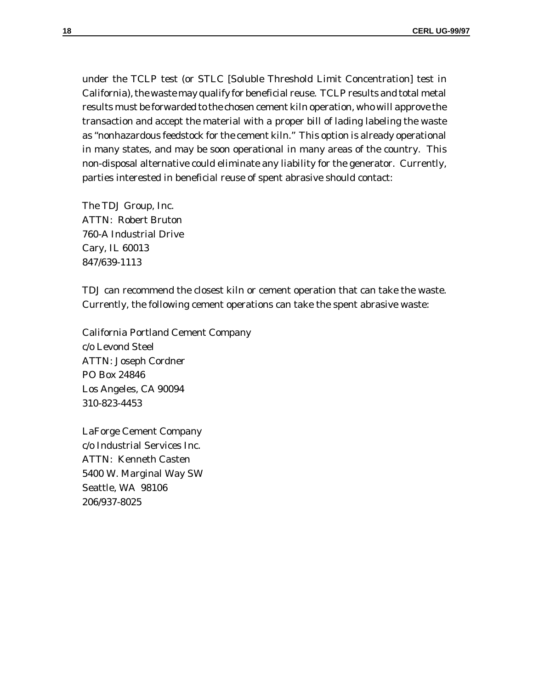under the TCLP test (or STLC [Soluble Threshold Limit Concentration] test in California), the waste may qualify for beneficial reuse. TCLP results and total metal results must be forwarded to the chosen cement kiln operation, who will approve the transaction and accept the material with a proper bill of lading labeling the waste as "nonhazardous feedstock for the cement kiln." This option is already operational in many states, and may be soon operational in many areas of the country. This non-disposal alternative could eliminate any liability for the generator. Currently, parties interested in beneficial reuse of spent abrasive should contact:

The TDJ Group, Inc. ATTN: Robert Bruton 760-A Industrial Drive Cary, IL 60013 847/639-1113

TDJ can recommend the closest kiln or cement operation that can take the waste. Currently, the following cement operations can take the spent abrasive waste:

California Portland Cement Company c/o Levond Steel ATTN: Joseph Cordner PO Box 24846 Los Angeles, CA 90094 310-823-4453

LaForge Cement Company c/o Industrial Services Inc. ATTN: Kenneth Casten 5400 W. Marginal Way SW Seattle, WA 98106 206/937-8025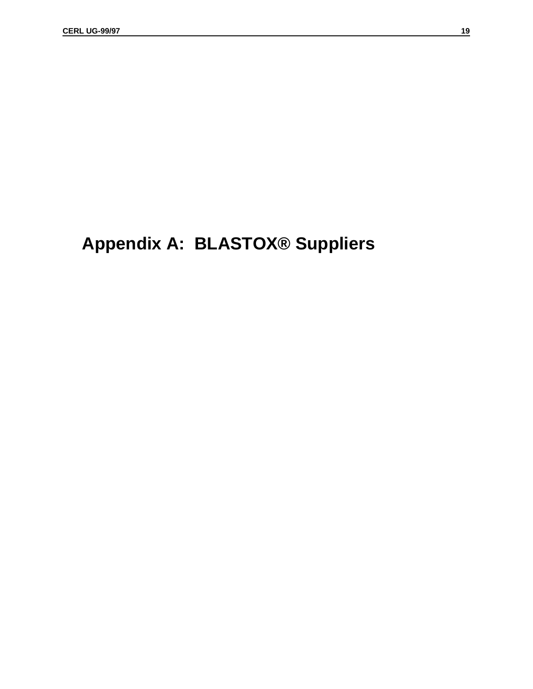# **Appendix A: BLASTOX® Suppliers**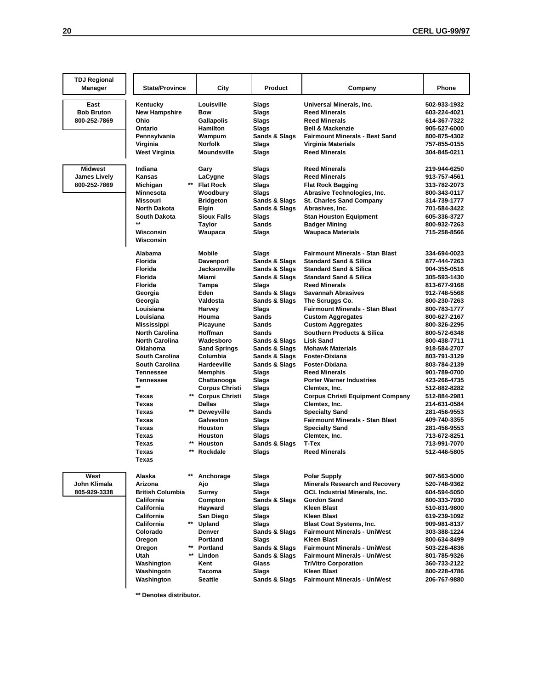| <b>TDJ Regional</b>                 |                               |                           |               |                                                    |                              |
|-------------------------------------|-------------------------------|---------------------------|---------------|----------------------------------------------------|------------------------------|
| <b>Manager</b>                      | <b>State/Province</b>         | City                      | Product       | Company                                            | Phone                        |
|                                     |                               |                           |               |                                                    |                              |
| East                                | Kentucky                      | Louisville                | Slags         | Universal Minerals, Inc.                           | 502-933-1932                 |
| <b>Bob Bruton</b>                   | New Hampshire                 | Bow                       | <b>Slags</b>  | <b>Reed Minerals</b>                               | 603-224-4021                 |
| 800-252-7869                        | Ohio                          | <b>Gallapolis</b>         | Slags         | <b>Reed Minerals</b>                               | 614-367-7322                 |
|                                     | Ontario                       | Hamilton                  | Slags         | <b>Bell &amp; Mackenzie</b>                        | 905-527-6000                 |
|                                     | Pennsylvania                  | Wampum                    | Sands & Slags | <b>Fairmount Minerals - Best Sand</b>              | 800-875-4302                 |
|                                     | Virginia                      | <b>Norfolk</b>            | Slags         | <b>Virginia Materials</b>                          | 757-855-0155                 |
|                                     | <b>West Virginia</b>          | Moundsville               | Slags         | <b>Reed Minerals</b>                               | 304-845-0211                 |
| <b>Midwest</b>                      | Indiana                       |                           | Slags         | <b>Reed Minerals</b>                               | 219-944-6250                 |
|                                     | Kansas                        | Gary<br>LaCygne           | Slags         | <b>Reed Minerals</b>                               | 913-757-4561                 |
| <b>James Lively</b><br>800-252-7869 | Michigan                      | <b>Flat Rock</b>          | Slags         | <b>Flat Rock Bagging</b>                           | 313-782-2073                 |
|                                     | Minnesota                     | Woodbury                  | Slags         | Abrasive Technologies, Inc.                        | 800-343-0117                 |
|                                     | Missouri                      |                           | Sands & Slags |                                                    |                              |
|                                     | North Dakota                  | <b>Bridgeton</b><br>Elgin | Sands & Slags | <b>St. Charles Sand Company</b><br>Abrasives, Inc. | 314-739-1777<br>701-584-3422 |
|                                     | South Dakota                  | <b>Sioux Falls</b>        |               |                                                    |                              |
|                                     | $^{\star\star}$               |                           | Slags         | <b>Stan Houston Equipment</b>                      | 605-336-3727                 |
|                                     |                               | Taylor                    | Sands         | <b>Badger Mining</b>                               | 800-932-7263                 |
|                                     | Wisconsin<br>Wisconsin        | Waupaca                   | Slags         | <b>Waupaca Materials</b>                           | 715-258-8566                 |
|                                     |                               |                           |               |                                                    |                              |
|                                     | Alabama                       | Mobile                    | Slags         | <b>Fairmount Minerals - Stan Blast</b>             | 334-694-0023                 |
|                                     | <b>Florida</b>                | <b>Davenport</b>          | Sands & Slags | <b>Standard Sand &amp; Silica</b>                  | 877-444-7263                 |
|                                     | <b>Florida</b>                | Jacksonville              | Sands & Slags | <b>Standard Sand &amp; Silica</b>                  | 904-355-0516                 |
|                                     | <b>Florida</b>                | Miami                     | Sands & Slags | <b>Standard Sand &amp; Silica</b>                  | 305-593-1430                 |
|                                     | <b>Florida</b>                | Tampa                     | Slags         | <b>Reed Minerals</b>                               | 813-677-9168                 |
|                                     | Georgia                       | Eden                      | Sands & Slags | <b>Savannah Abrasives</b>                          | 912-748-5568                 |
|                                     | Georgia                       | Valdosta                  | Sands & Slags | The Scruggs Co.                                    | 800-230-7263                 |
|                                     | Louisiana                     | Harvey                    | Slags         | <b>Fairmount Minerals - Stan Blast</b>             | 800-783-1777                 |
|                                     | Louisiana                     | Houma                     | <b>Sands</b>  | <b>Custom Aggregates</b>                           | 800-627-2167                 |
|                                     | Mississippi                   | Picayune                  | Sands         | <b>Custom Aggregates</b>                           | 800-326-2295                 |
|                                     | North Carolina                | Hoffman                   | Sands         | <b>Southern Products &amp; Silica</b>              | 800-572-6348                 |
|                                     | North Carolina                | Wadesboro                 | Sands & Slags | <b>Lisk Sand</b>                                   | 800-438-7711                 |
|                                     | Oklahoma                      | <b>Sand Springs</b>       | Sands & Slags | <b>Mohawk Materials</b>                            | 918-584-2707                 |
|                                     | <b>South Carolina</b>         | Columbia                  | Sands & Slags | Foster-Dixiana                                     | 803-791-3129                 |
|                                     | South Carolina                | Hardeeville               | Sands & Slags | <b>Foster-Dixiana</b>                              | 803-784-2139                 |
|                                     | Tennessee                     | Memphis                   | Slags         | <b>Reed Minerals</b>                               | 901-789-0700                 |
|                                     | Tennessee                     | Chattanooga               | Slags         | <b>Porter Warner Industries</b>                    | 423-266-4735                 |
|                                     | **                            | <b>Corpus Christi</b>     | Slags         | Clemtex, Inc.                                      | 512-882-8282                 |
|                                     | Texas                         | ** Corpus Christi         | Slags         | <b>Corpus Christi Equipment Company</b>            | 512-884-2981                 |
|                                     | Texas                         | <b>Dallas</b>             | Slags         | Clemtex, Inc.                                      | 214-631-0584                 |
|                                     | Texas                         | **<br><b>Deweyville</b>   | <b>Sands</b>  | <b>Specialty Sand</b>                              | 281-456-9553                 |
|                                     | <b>Texas</b>                  | Galveston                 | Slags         | <b>Fairmount Minerals - Stan Blast</b>             | 409-740-3355                 |
|                                     | Texas                         | Houston                   | Slags         | <b>Specialty Sand</b>                              | 281-456-9553                 |
|                                     | Texas                         | Houston                   | Slags         | Clemtex, Inc.                                      | 713-672-8251                 |
|                                     | <b>Texas</b>                  | <b>Houston</b>            | Sands & Slags | T-Tex                                              | 713-991-7070                 |
|                                     | $\star\star$<br>Texas         | Rockdale                  | Slags         | <b>Reed Minerals</b>                               | 512-446-5805                 |
|                                     | <b>Texas</b>                  |                           |               |                                                    |                              |
|                                     |                               |                           |               |                                                    |                              |
| West                                | Alaska                        | Anchorage                 | Slags         | <b>Polar Supply</b>                                | 907-563-5000                 |
| John Klimala                        | Arizona                       | Ajo                       | Slags         | <b>Minerals Research and Recovery</b>              | 520-748-9362                 |
| 805-929-3338                        | <b>British Columbia</b>       | Surrey                    | Slags         | OCL Industrial Minerals, Inc.                      | 604-594-5050                 |
|                                     | California                    | Compton                   | Sands & Slags | <b>Gordon Sand</b>                                 | 800-333-7930                 |
|                                     | California                    | Hayward                   | Slags         | <b>Kleen Blast</b>                                 | 510-831-9800                 |
|                                     | California                    | San Diego                 | Slags         | <b>Kleen Blast</b>                                 | 619-239-1092                 |
|                                     | $^{\star\star}$<br>California | Upland                    | Slags         | <b>Blast Coat Systems, Inc.</b>                    | 909-981-8137                 |
|                                     | Colorado                      | Denver                    | Sands & Slags | <b>Fairmount Minerals - UniWest</b>                | 303-388-1224                 |
|                                     | Oregon                        | Portland                  | Slags         | <b>Kleen Blast</b>                                 | 800-634-8499                 |
|                                     | **<br>Oregon                  | Portland                  | Sands & Slags | <b>Fairmount Minerals - UniWest</b>                | 503-226-4836                 |
|                                     | $***$<br>Utah                 | Lindon                    | Sands & Slags | <b>Fairmount Minerals - UniWest</b>                | 801-785-9326                 |
|                                     | Washington                    | Kent                      | <b>Glass</b>  | <b>TriVitro Corporation</b>                        | 360-733-2122                 |
|                                     | Washingotn                    | Tacoma                    | Slags         | <b>Kleen Blast</b>                                 | 800-228-4786                 |
|                                     | Washington                    | Seattle                   | Sands & Slags | <b>Fairmount Minerals - UniWest</b>                | 206-767-9880                 |
|                                     |                               |                           |               |                                                    |                              |

**\*\* Denotes distributor.**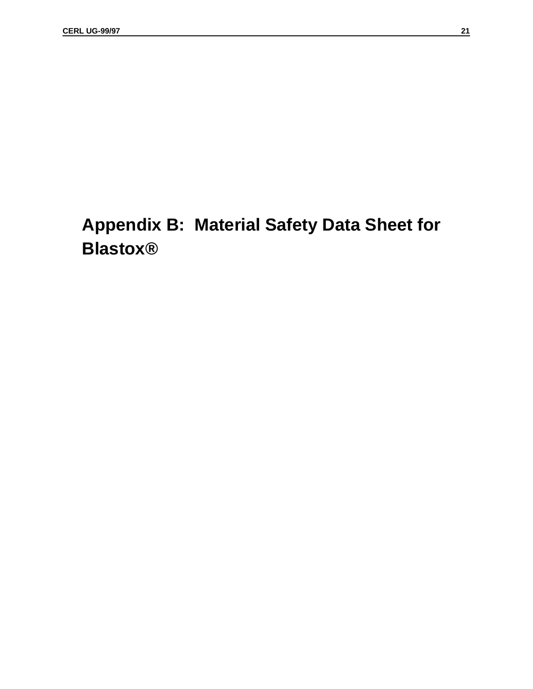# **Appendix B: Material Safety Data Sheet for Blastox®**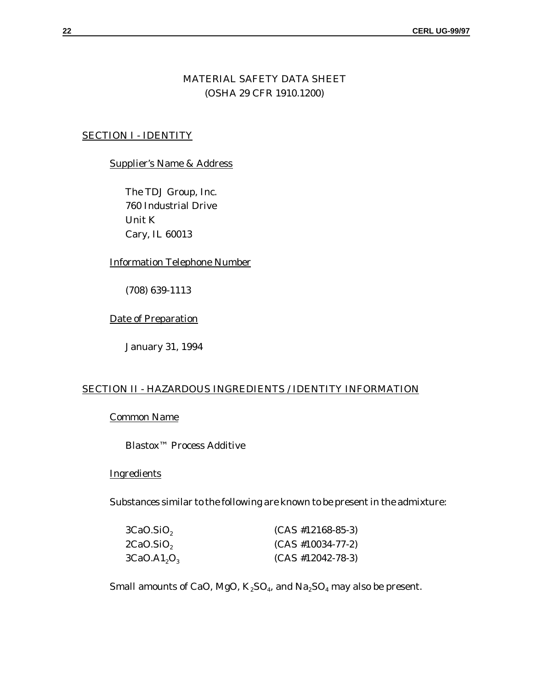## MATERIAL SAFETY DATA SHEET (OSHA 29 CFR 1910.1200)

## SECTION I - IDENTITY

#### Supplier's Name & Address

The TDJ Group, Inc. 760 Industrial Drive Unit K Cary, IL 60013

#### Information Telephone Number

(708) 639-1113

#### Date of Preparation

January 31, 1994

### SECTION II - HAZARDOUS INGREDIENTS / IDENTITY INFORMATION

## Common Name

Blastox™ Process Additive

## **Ingredients**

Substances similar to the following are known to be present in the admixture:

| 3CaO.SiO,                           | $(CAS #12168-85-3)$ |
|-------------------------------------|---------------------|
| 2CaO.SiO,                           | $(CAS #10034-77-2)$ |
| 3CaO.A1 <sub>2</sub> O <sub>3</sub> | $(CAS #12042-78-3)$ |

Small amounts of CaO, MgO,  $K_2SO_4$ , and  $Na_2SO_4$  may also be present.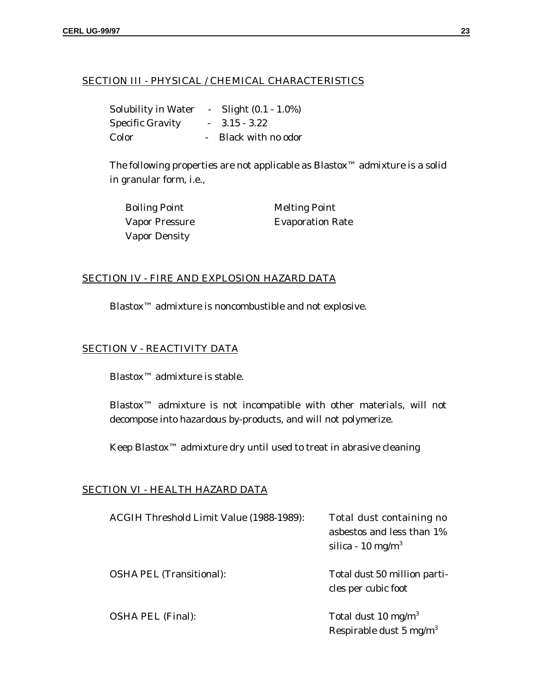## SECTION III - PHYSICAL / CHEMICAL CHARACTERISTICS

| <b>Solubility in Water</b> | $\sim$ $-$ | Slight $(0.1 - 1.0\%)$ |
|----------------------------|------------|------------------------|
| <b>Specific Gravity</b>    |            | $-3.15 - 3.22$         |
| Color                      |            | Black with no odor     |

The following properties are not applicable as Blastox™ admixture is a solid in granular form, i.e.,

| <b>Boiling Point</b>  | <b>Melting Point</b>    |
|-----------------------|-------------------------|
| <b>Vapor Pressure</b> | <b>Evaporation Rate</b> |
| <b>Vapor Density</b>  |                         |

### SECTION IV - FIRE AND EXPLOSION HAZARD DATA

Blastox™ admixture is noncombustible and not explosive.

## SECTION V - REACTIVITY DATA

Blastox<sup>™</sup> admixture is stable.

Blastox™ admixture is not incompatible with other materials, will not decompose into hazardous by-products, and will not polymerize.

Keep Blastox<sup>™</sup> admixture dry until used to treat in abrasive cleaning

### SECTION VI - HEALTH HAZARD DATA

| ACGIH Threshold Limit Value (1988-1989): | Total dust containing no<br>asbestos and less than 1%<br>silica - 10 mg/m <sup>3</sup> |
|------------------------------------------|----------------------------------------------------------------------------------------|
| <b>OSHA PEL (Transitional):</b>          | Total dust 50 million parti-<br>cles per cubic foot                                    |
| <b>OSHA PEL (Final):</b>                 | Total dust 10 mg/m <sup>3</sup><br>Respirable dust 5 mg/m <sup>3</sup>                 |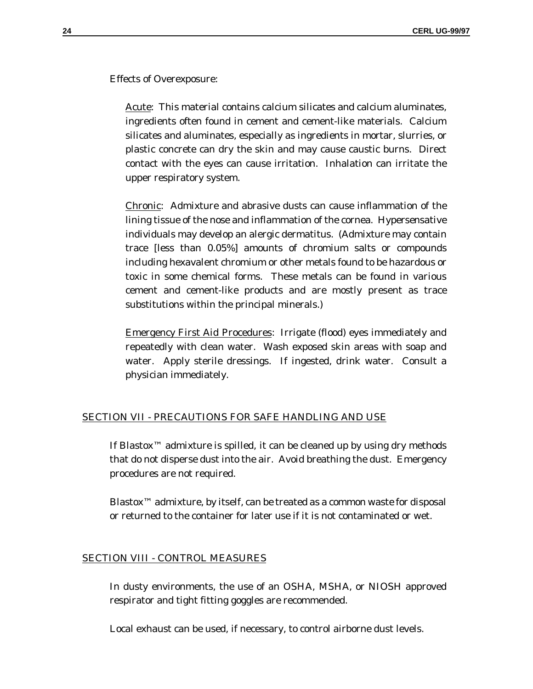Effects of Overexposure:

Acute: This material contains calcium silicates and calcium aluminates, ingredients often found in cement and cement-like materials. Calcium silicates and aluminates, especially as ingredients in mortar, slurries, or plastic concrete can dry the skin and may cause caustic burns. Direct contact with the eyes can cause irritation. Inhalation can irritate the upper respiratory system.

Chronic: Admixture and abrasive dusts can cause inflammation of the lining tissue of the nose and inflammation of the cornea. Hypersensative individuals may develop an alergic dermatitus. (Admixture may contain trace [less than 0.05%] amounts of chromium salts or compounds including hexavalent chromium or other metals found to be hazardous or toxic in some chemical forms. These metals can be found in various cement and cement-like products and are mostly present as trace substitutions within the principal minerals.)

Emergency First Aid Procedures: Irrigate (flood) eyes immediately and repeatedly with clean water. Wash exposed skin areas with soap and water. Apply sterile dressings. If ingested, drink water. Consult a physician immediately.

#### SECTION VII - PRECAUTIONS FOR SAFE HANDLING AND USE

If Blastox™ admixture is spilled, it can be cleaned up by using dry methods that do not disperse dust into the air. Avoid breathing the dust. Emergency procedures are not required.

Blastox<sup>™</sup> admixture, by itself, can be treated as a common waste for disposal or returned to the container for later use if it is not contaminated or wet.

#### SECTION VIII - CONTROL MEASURES

In dusty environments, the use of an OSHA, MSHA, or NIOSH approved respirator and tight fitting goggles are recommended.

Local exhaust can be used, if necessary, to control airborne dust levels.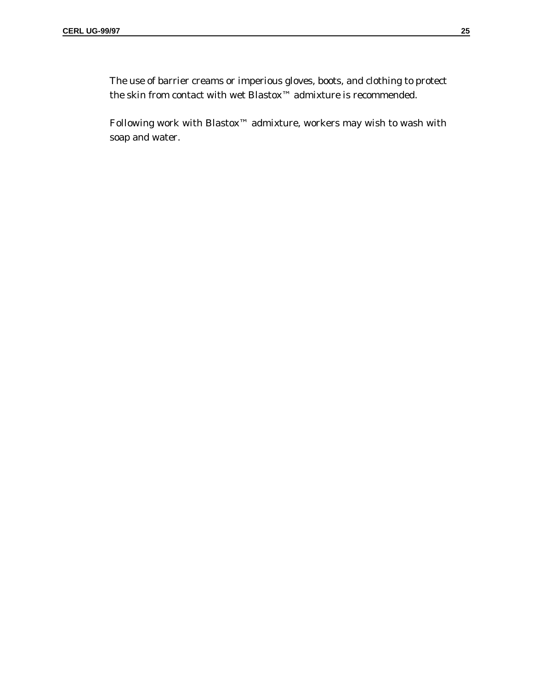The use of barrier creams or imperious gloves, boots, and clothing to protect the skin from contact with wet Blastox™ admixture is recommended.

Following work with Blastox™ admixture, workers may wish to wash with soap and water.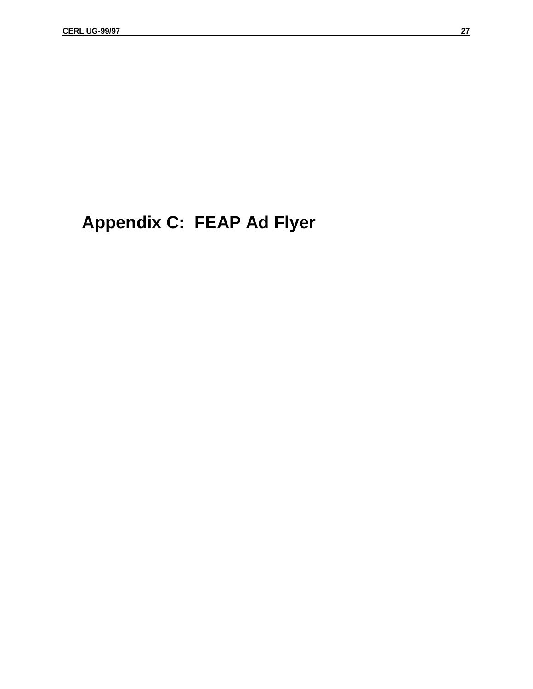# **Appendix C: FEAP Ad Flyer**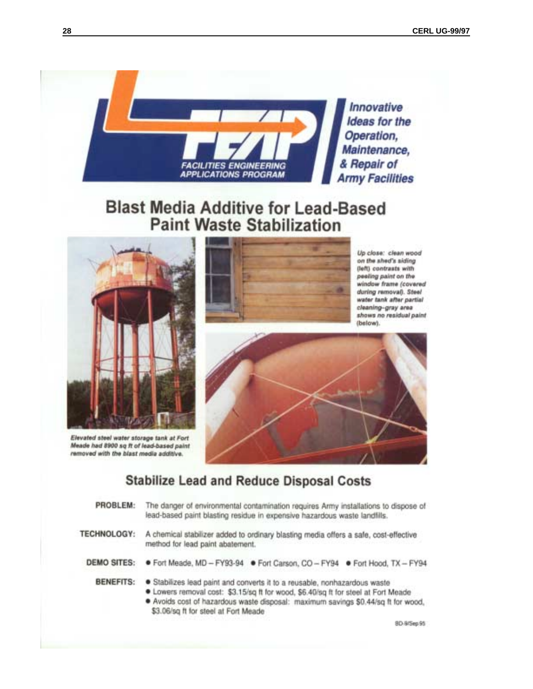

# **Blast Media Additive for Lead-Based Paint Waste Stabilization**



Elevated steel water storage tank at Fort Meade had 8900 sq ft of lead-based paint removed with the blast media additive.



Up close: clean wood on the shed's siding (left) contrasts with peeling paint on the window frame (covered during removal). Steel water tank after partial cleaning-gray area shows no residual paint (below).



# **Stabilize Lead and Reduce Disposal Costs**

| PROBLEM: | The danger of environmental contamination requires Army installations to dispose of |
|----------|-------------------------------------------------------------------------------------|
|          | lead-based paint blasting residue in expensive hazardous waste landfills.           |

**TECHNOLOGY:** A chemical stabilizer added to ordinary blasting media offers a safe, cost-effective method for lead paint abatement.

**DEMO SITES:** ● Fort Meade, MD - FY93-94 ● Fort Carson, CO - FY94 ● Fort Hood, TX - FY94

- BENEFITS: . Stabilizes lead paint and converts it to a reusable, nonhazardous waste
	- . Lowers removal cost: \$3.15/sq ft for wood, \$6.40/sq ft for steel at Fort Meade
	- · Avoids cost of hazardous waste disposal: maximum savings \$0.44/sq ft for wood, \$3.06/sq ft for steel at Fort Meade

8D-9/5ep 95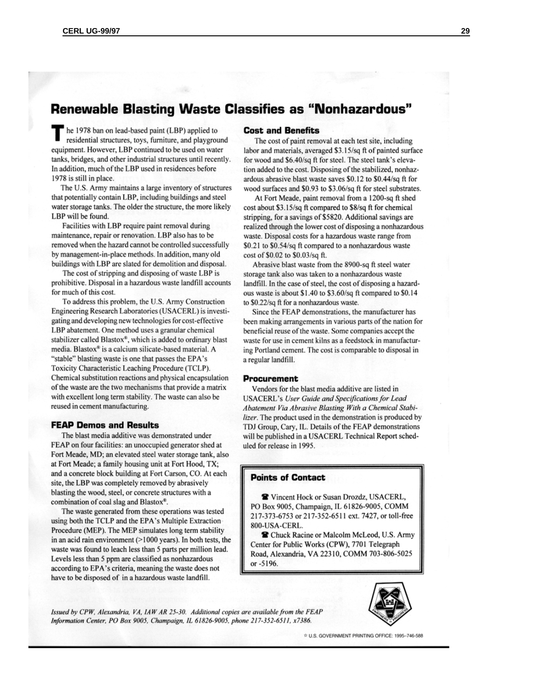# **Renewable Blasting Waste Classifies as "Nonhazardous"**

he 1978 ban on lead-based paint (LBP) applied to residential structures, toys, furniture, and playground equipment. However, LBP continued to be used on water tanks, bridges, and other industrial structures until recently. In addition, much of the LBP used in residences before 1978 is still in place.

The U.S. Army maintains a large inventory of structures that potentially contain LBP, including buildings and steel water storage tanks. The older the structure, the more likely LBP will be found.

Facilities with LBP require paint removal during maintenance, repair or renovation. LBP also has to be removed when the hazard cannot be controlled successfully by management-in-place methods. In addition, many old buildings with LBP are slated for demolition and disposal.

The cost of stripping and disposing of waste LBP is prohibitive. Disposal in a hazardous waste landfill accounts for much of this cost.

To address this problem, the U.S. Army Construction Engineering Research Laboratories (USACERL) is investigating and developing new technologies for cost-effective LBP abatement. One method uses a granular chemical stabilizer called Blastox®, which is added to ordinary blast media. Blastox® is a calcium silicate-based material. A "stable" blasting waste is one that passes the EPA's Toxicity Characteristic Leaching Procedure (TCLP). Chemical substitution reactions and physical encapsulation of the waste are the two mechanisms that provide a matrix with excellent long term stability. The waste can also be reused in cement manufacturing.

#### **FEAP Demos and Results**

The blast media additive was demonstrated under FEAP on four facilities: an unoccupied generator shed at Fort Meade, MD; an elevated steel water storage tank, also at Fort Meade; a family housing unit at Fort Hood, TX; and a concrete block building at Fort Carson, CO. At each site, the LBP was completely removed by abrasively blasting the wood, steel, or concrete structures with a combination of coal slag and Blastox®.

The waste generated from these operations was tested using both the TCLP and the EPA's Multiple Extraction Procedure (MEP). The MEP simulates long term stability in an acid rain environment  $(>1000$  years). In both tests, the waste was found to leach less than 5 parts per million lead. Levels less than 5 ppm are classified as nonhazardous according to EPA's criteria, meaning the waste does not have to be disposed of in a hazardous waste landfill.

#### **Cost and Benefits**

The cost of paint removal at each test site, including labor and materials, averaged \$3.15/sq ft of painted surface for wood and \$6.40/sq ft for steel. The steel tank's elevation added to the cost. Disposing of the stabilized, nonhazardous abrasive blast waste saves \$0.12 to \$0.44/sq ft for wood surfaces and \$0.93 to \$3.06/sq ft for steel substrates.

At Fort Meade, paint removal from a 1200-sq ft shed cost about \$3.15/sq ft compared to \$8/sq ft for chemical stripping, for a savings of \$5820. Additional savings are realized through the lower cost of disposing a nonhazardous waste. Disposal costs for a hazardous waste range from \$0.21 to \$0.54/sq ft compared to a nonhazardous waste cost of \$0.02 to \$0.03/sq ft.

Abrasive blast waste from the 8900-sq ft steel water storage tank also was taken to a nonhazardous waste landfill. In the case of steel, the cost of disposing a hazardous waste is about \$1.40 to \$3.60/sq ft compared to \$0.14 to \$0.22/sq ft for a nonhazardous waste.

Since the FEAP demonstrations, the manufacturer has been making arrangements in various parts of the nation for beneficial reuse of the waste. Some companies accept the waste for use in cement kilns as a feedstock in manufacturing Portland cement. The cost is comparable to disposal in a regular landfill.

#### **Procurement**

Vendors for the blast media additive are listed in **USACERL's User Guide and Specifications for Lead** Abatement Via Abrasive Blasting With a Chemical Stabilizer. The product used in the demonstration is produced by TDJ Group, Cary, IL. Details of the FEAP demonstrations will be published in a USACERL Technical Report scheduled for release in 1995.

#### **Points of Contact**

**Y** Vincent Hock or Susan Drozdz, USACERL, PO Box 9005, Champaign, IL 61826-9005, COMM 217-373-6753 or 217-352-6511 ext. 7427, or toll-free 800-USA-CERL.

Chuck Racine or Malcolm McLeod, U.S. Army Center for Public Works (CPW), 7701 Telegraph Road, Alexandria, VA 22310, COMM 703-806-5025 or -5196.

Issued by CPW, Alexandria, VA, IAW AR 25-30. Additional copies are available from the FEAP Information Center, PO Box 9005, Champaign, IL 61826-9005, phone 217-352-6511, x7386.



☆ U.S. GOVERNMENT PRINTING OFFICE: 1995-746-588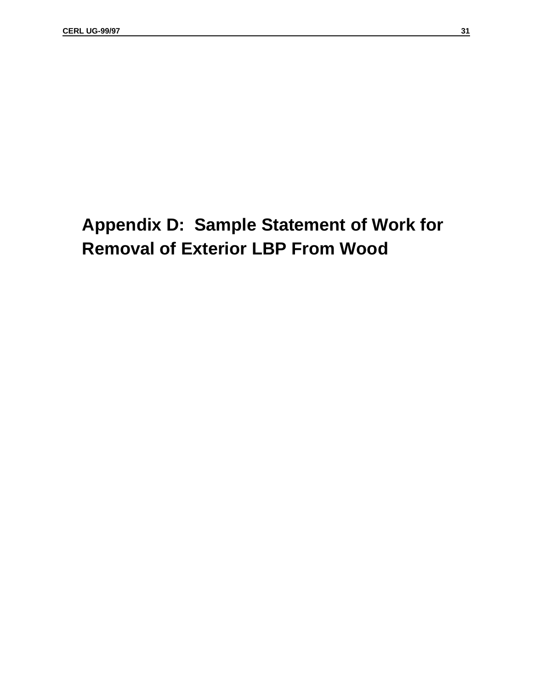# **Appendix D: Sample Statement of Work for Removal of Exterior LBP From Wood**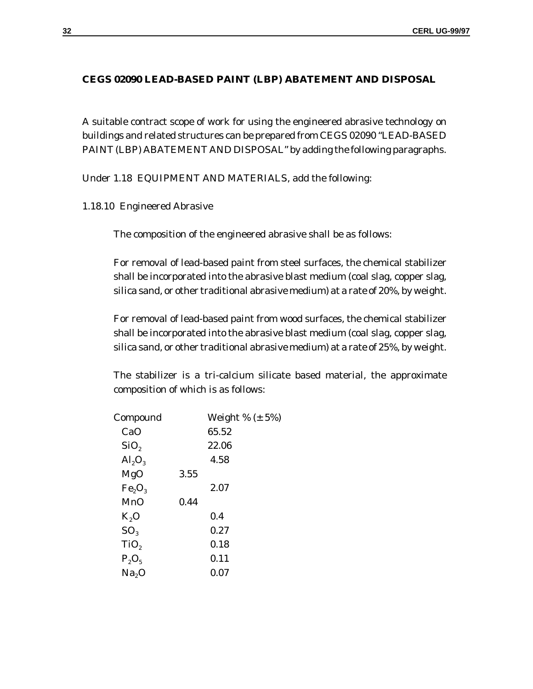### **CEGS 02090 LEAD-BASED PAINT (LBP) ABATEMENT AND DISPOSAL**

A suitable contract scope of work for using the engineered abrasive technology on buildings and related structures can be prepared from CEGS 02090 "LEAD-BASED PAINT (LBP) ABATEMENT AND DISPOSAL" by adding the following paragraphs.

Under 1.18 EQUIPMENT AND MATERIALS, add the following:

1.18.10 Engineered Abrasive

The composition of the engineered abrasive shall be as follows:

For removal of lead-based paint from steel surfaces, the chemical stabilizer shall be incorporated into the abrasive blast medium (coal slag, copper slag, silica sand, or other traditional abrasive medium) at a rate of 20%, by weight.

For removal of lead-based paint from wood surfaces, the chemical stabilizer shall be incorporated into the abrasive blast medium (coal slag, copper slag, silica sand, or other traditional abrasive medium) at a rate of 25%, by weight.

The stabilizer is a tri-calcium silicate based material, the approximate composition of which is as follows:

| Compound                |      | Weight % $(\pm 5\%)$ |
|-------------------------|------|----------------------|
| CaO                     |      | 65.52                |
| SiO <sub>2</sub>        |      | 22.06                |
| $\text{Al}_2\text{O}_3$ |      | 4.58                 |
| MgO                     | 3.55 |                      |
| $Fe_2O_3$               |      | 2.07                 |
| MnO                     | 0.44 |                      |
| $K_2O$                  |      | 0.4                  |
| SO <sub>3</sub>         |      | 0.27                 |
| TiO,                    |      | 0.18                 |
| $P_2O_5$                |      | 0.11                 |
| Na <sub>2</sub> O       |      | 0.07                 |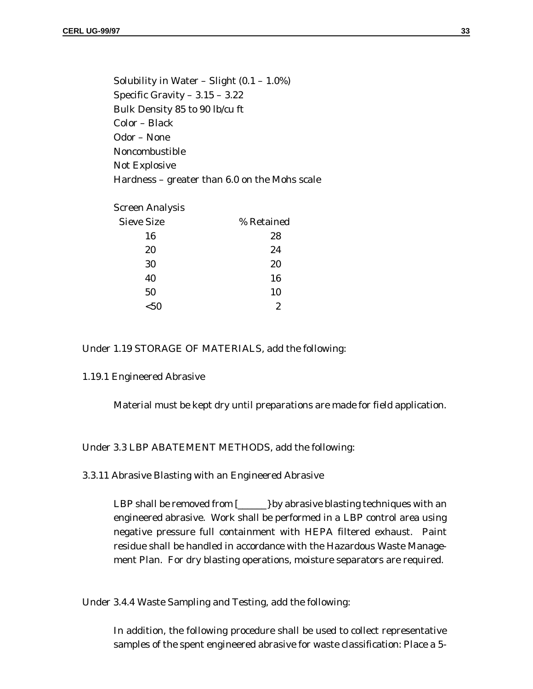Solubility in Water – Slight  $(0.1 - 1.0\%)$ Specific Gravity – 3.15 – 3.22 Bulk Density 85 to 90 lb/cu ft Color – Black Odor – None Noncombustible Not Explosive Hardness – greater than 6.0 on the Mohs scale

| Screen Analysis   |            |
|-------------------|------------|
| <b>Sieve Size</b> | % Retained |
| 16                | 28         |
| 20                | 24         |
| 30                | 20         |
| 40                | 16         |
| 50                | 10         |
| <50               | 2          |

#### Under 1.19 STORAGE OF MATERIALS, add the following:

#### 1.19.1 Engineered Abrasive

Material must be kept dry until preparations are made for field application.

Under 3.3 LBP ABATEMENT METHODS, add the following:

3.3.11 Abrasive Blasting with an Engineered Abrasive

LBP shall be removed from  $\Box$  by abrasive blasting techniques with an engineered abrasive. Work shall be performed in a LBP control area using negative pressure full containment with HEPA filtered exhaust. Paint residue shall be handled in accordance with the Hazardous Waste Management Plan. For dry blasting operations, moisture separators are required.

Under 3.4.4 Waste Sampling and Testing, add the following:

In addition, the following procedure shall be used to collect representative samples of the spent engineered abrasive for waste classification: Place a 5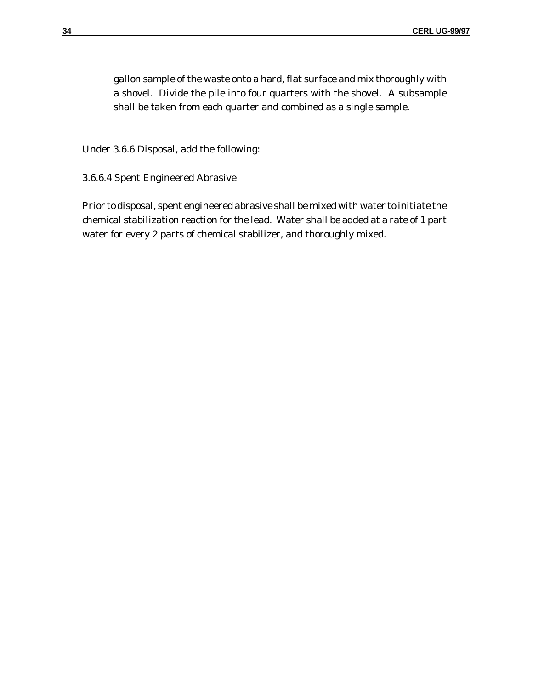gallon sample of the waste onto a hard, flat surface and mix thoroughly with a shovel. Divide the pile into four quarters with the shovel. A subsample shall be taken from each quarter and combined as a single sample.

Under 3.6.6 Disposal, add the following:

3.6.6.4 Spent Engineered Abrasive

Prior to disposal, spent engineered abrasive shall be mixed with water to initiate the chemical stabilization reaction for the lead. Water shall be added at a rate of 1 part water for every 2 parts of chemical stabilizer, and thoroughly mixed.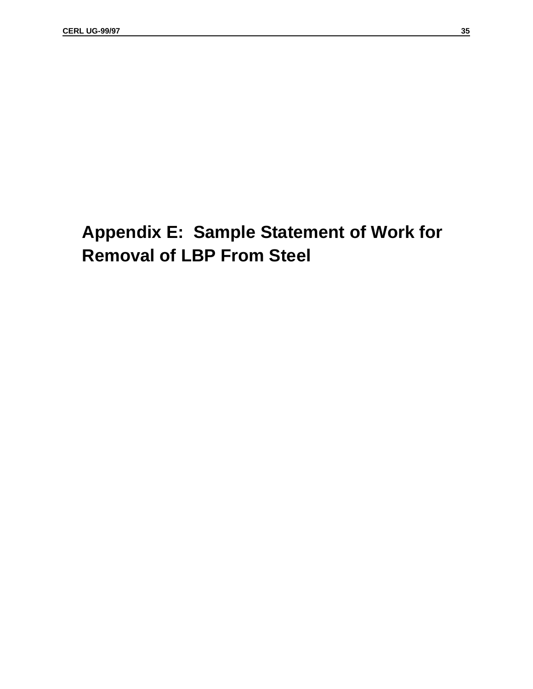# **Appendix E: Sample Statement of Work for Removal of LBP From Steel**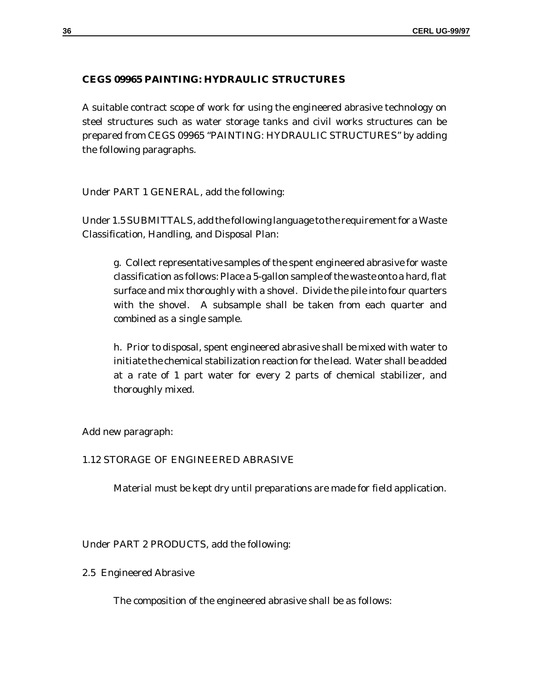#### **CEGS 09965 PAINTING: HYDRAULIC STRUCTURES**

A suitable contract scope of work for using the engineered abrasive technology on steel structures such as water storage tanks and civil works structures can be prepared from CEGS 09965 "PAINTING: HYDRAULIC STRUCTURES" by adding the following paragraphs.

Under PART 1 GENERAL, add the following:

Under 1.5 SUBMITTALS, add the following language to the requirement for a Waste Classification, Handling, and Disposal Plan:

g. Collect representative samples of the spent engineered abrasive for waste classification as follows: Place a 5-gallon sample of the waste onto a hard, flat surface and mix thoroughly with a shovel. Divide the pile into four quarters with the shovel. A subsample shall be taken from each quarter and combined as a single sample.

h. Prior to disposal, spent engineered abrasive shall be mixed with water to initiate the chemical stabilization reaction for the lead. Water shall be added at a rate of 1 part water for every 2 parts of chemical stabilizer, and thoroughly mixed.

Add new paragraph:

#### 1.12 STORAGE OF ENGINEERED ABRASIVE

Material must be kept dry until preparations are made for field application.

Under PART 2 PRODUCTS, add the following:

2.5 Engineered Abrasive

The composition of the engineered abrasive shall be as follows: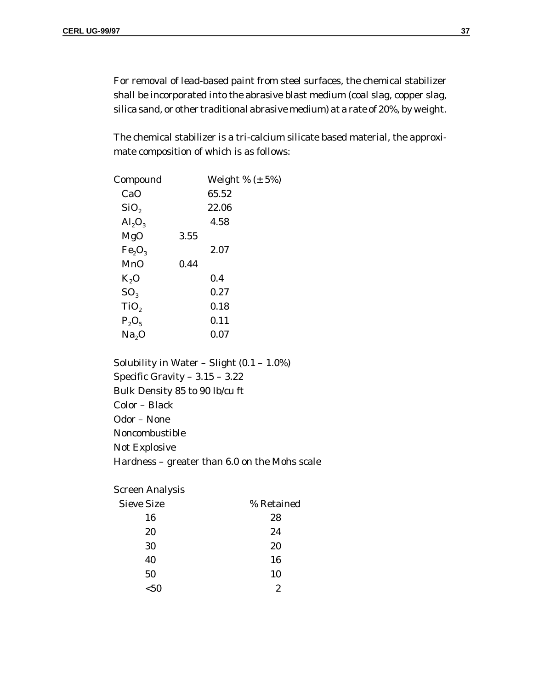For removal of lead-based paint from steel surfaces, the chemical stabilizer shall be incorporated into the abrasive blast medium (coal slag, copper slag, silica sand, or other traditional abrasive medium) at a rate of 20%, by weight.

The chemical stabilizer is a tri-calcium silicate based material, the approximate composition of which is as follows:

| Compound                |      | Weight % $(\pm 5\%)$ |
|-------------------------|------|----------------------|
| CaO                     |      | 65.52                |
| SiO <sub>2</sub>        |      | 22.06                |
| $\text{Al}_2\text{O}_3$ |      | 4.58                 |
| MgO                     | 3.55 |                      |
| $Fe_2O_3$               |      | 2.07                 |
| MnO                     | 0.44 |                      |
| $K_2O$                  |      | 0.4                  |
| SO <sub>3</sub>         |      | 0.27                 |
| TiO,                    |      | 0.18                 |
| $P_2O_5$                |      | 0.11                 |
| Na <sub>2</sub> O       |      | 0.07                 |
|                         |      |                      |

Solubility in Water – Slight  $(0.1 - 1.0\%)$ Specific Gravity – 3.15 – 3.22 Bulk Density 85 to 90 lb/cu ft Color – Black Odor – None Noncombustible Not Explosive Hardness – greater than 6.0 on the Mohs scale

Screen Analysis

| <b>Sieve Size</b> | % Retained |
|-------------------|------------|
| 16                | 28         |
| 20                | 24         |
| 30                | 20         |
| 40                | 16         |
| 50                | 10         |
| $50$              | 2          |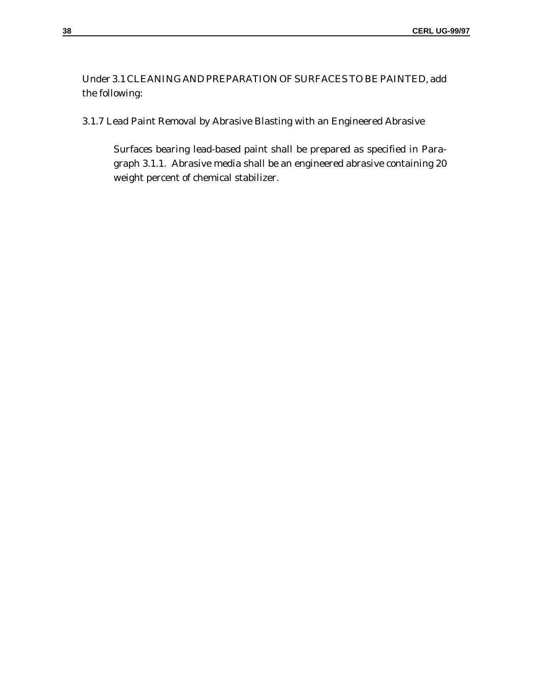Under 3.1 CLEANING AND PREPARATION OF SURFACES TO BE PAINTED, add the following:

3.1.7 Lead Paint Removal by Abrasive Blasting with an Engineered Abrasive

Surfaces bearing lead-based paint shall be prepared as specified in Paragraph 3.1.1. Abrasive media shall be an engineered abrasive containing 20 weight percent of chemical stabilizer.